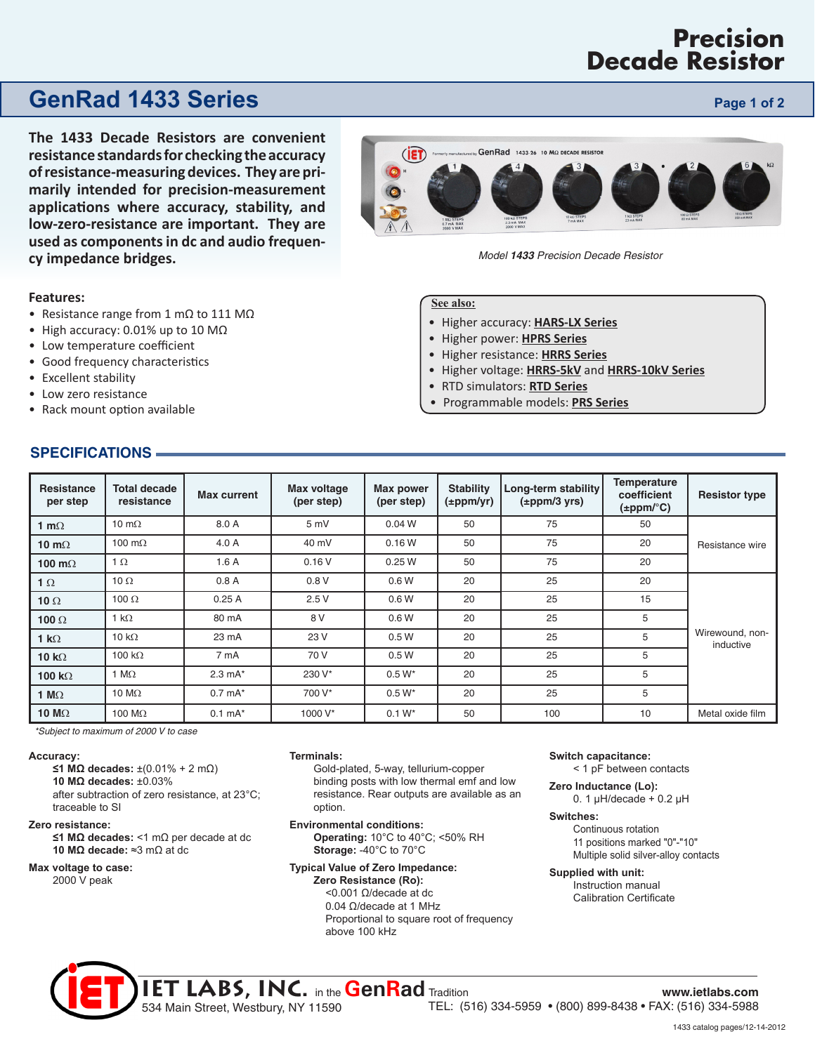# **Precision Decade Resistor**

# **GenRad 1433 Series Page 1 of 2 Page 1 of 2**

**The 1433 Decade Resistors are convenient resistance standards for checking the accuracy of resistance-measuring devices. They are primarily intended for precision-measurement applications where accuracy, stability, and low-zero-resistance are important. They are used as components in dc and audio frequency impedance bridges.** 

### **Features:**

- Resistance range from 1 mΩ to 111 MΩ
- High accuracy: 0.01% up to 10 MΩ
- Low temperature coefficient
- Good frequency characteristics
- Excellent stability
- Low zero resistance
- Rack mount option available

### **See also:**

- Higher accuracy: **[HARS-LX Series](http://www.ietlabs.com/pdf/Datasheets/HARS-LX.pdf)**
- Higher power: **[HPRS Series](http://www.ietlabs.com/pdf/Datasheets/HPRS.pdf)**
- Higher resistance: **[HRRS Series](http://www.ietlabs.com/pdf/Datasheets/HRRS.pdf)**
- Higher voltage: **[HRRS-5kV](http://www.ietlabs.com/pdf/Datasheets/HRRS-5KV.pdf)** and **[HRRS-10kV Series](http://www.ietlabs.com/pdf/Datasheets/HRRS-10KV.pdf)**
- RTD simulators: **[RTD Series](http://www.ietlabs.com/pdf/Datasheets/RTD.pdf)**
- Programmable models: **[PRS Series](http://www.ietlabs.com/pdf/Datasheets/PRS.pdf)**

| Resistance<br>per step | <b>Total decade</b><br>resistance | Max current        | Max voltage<br>(per step) | Max power<br>(per step) | <b>Stability</b><br>$(\pm$ ppm/yr) | Long-term stability<br>$(\pm$ ppm/3 yrs) | Temperature<br>coefficient<br>$(\pm$ ppm/ $^{\circ}$ C) | <b>Resistor type</b>         |
|------------------------|-----------------------------------|--------------------|---------------------------|-------------------------|------------------------------------|------------------------------------------|---------------------------------------------------------|------------------------------|
| 1 m $\Omega$           | 10 m $\Omega$                     | 8.0 A              | 5mV                       | 0.04 <sub>W</sub>       | 50                                 | 75                                       | 50                                                      |                              |
| 10 m $\Omega$          | 100 m $\Omega$                    | 4.0A               | 40 mV                     | 0.16W                   | 50                                 | 75                                       | 20                                                      | Resistance wire              |
| 100 m $\Omega$         | $1 \Omega$                        | 1.6A               | 0.16V                     | 0.25W                   | 50                                 | 75                                       | 20                                                      |                              |
| 1 $\Omega$             | 10 $\Omega$                       | 0.8A               | 0.8V                      | 0.6W                    | 20                                 | 25                                       | 20                                                      |                              |
| 10 $\Omega$            | 100 $\Omega$                      | 0.25A              | 2.5V                      | 0.6W                    | 20                                 | 25                                       | 15                                                      |                              |
| 100 $\Omega$           | 1 k $\Omega$                      | 80 mA              | 8 V                       | 0.6W                    | 20                                 | 25                                       | 5                                                       |                              |
| 1 k $\Omega$           | 10 k $\Omega$                     | 23 mA              | 23 V                      | 0.5W                    | 20                                 | 25                                       | 5                                                       | Wirewound, non-<br>inductive |
| 10 $k\Omega$           | 100 k $\Omega$                    | 7 mA               | 70 V                      | 0.5W                    | 20                                 | 25                                       | 5                                                       |                              |
| 100 k $\Omega$         | 1 M $\Omega$                      | $2.3 \text{ mA}^*$ | 230 V*                    | $0.5 W^*$               | 20                                 | 25                                       | 5                                                       |                              |
| 1 M $\Omega$           | 10 $M\Omega$                      | $0.7$ mA $*$       | 700 V*                    | $0.5 W^*$               | 20                                 | 25                                       | 5                                                       |                              |
| 10 $M\Omega$           | 100 $M\Omega$                     | $0.1$ mA $*$       | 1000 V*                   | $0.1 W^*$               | 50                                 | 100                                      | 10                                                      | Metal oxide film             |

*\*Subject to maximum of 2000 V to case*

#### **Accuracy:**

**≤1 MΩ decades:** ±(0.01% + 2 mΩ) **10 MΩ decades:** ±0.03%

after subtraction of zero resistance, at 23°C; traceable to SI

#### **Zero resistance:**

**≤1 MΩ decades:** <1 mΩ per decade at dc **10 MΩ decade:** ≈3 mΩ at dc

### **Max voltage to case:**

2000 V peak

#### **Terminals:**

534 Main Street, Westbury, NY 11590

Gold-plated, 5-way, tellurium-copper binding posts with low thermal emf and low resistance. Rear outputs are available as an option.

**Environmental conditions:**

**Operating:** 10°C to 40°C; <50% RH **Storage:** -40°C to 70°C

### **Typical Value of Zero Impedance:**

**Zero Resistance (Ro):** <0.001 Ω/decade at dc 0.04 Ω/decade at 1 MHz Proportional to square root of frequency above 100 kHz

#### **Switch capacitance:**

< 1 pF between contacts

**Zero Inductance (Lo):** 0. 1  $\mu$ H/decade + 0.2  $\mu$ H

#### **Switches:**

Continuous rotation 11 positions marked "0"-"10" Multiple solid silver-alloy contacts

#### **Supplied with unit:**

Instruction manual Calibration Certificate

## **SPECIFICATIONS**

TEL: (516) 334-5959 • (800) 899-8438 • FAX: (516) 334-5988

1433 catalog pages/12-14-2012

**IET LABS, INC.** in the **GenRad** Tradition **www.ietlabs.com**



*Model 1433 Precision Decade Resistor*